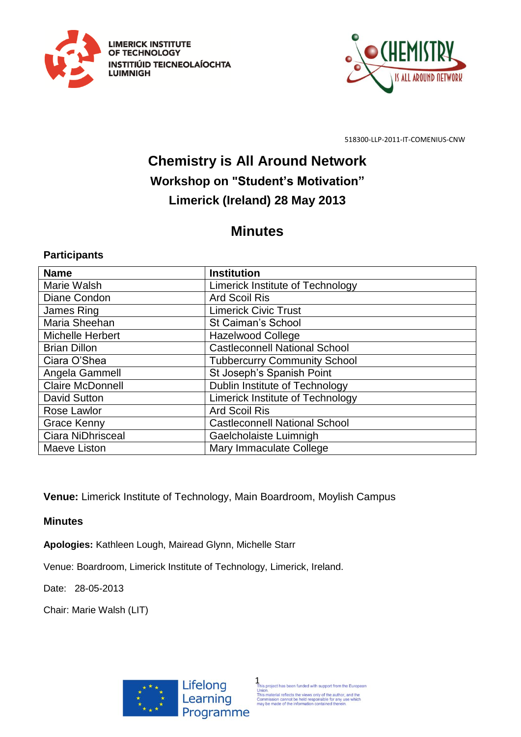



## **Chemistry is All Around Network Workshop on "Student's Motivation" Limerick (Ireland) 28 May 2013**

## **Minutes**

## **Participants**

| <b>Name</b>             | <b>Institution</b>                      |
|-------------------------|-----------------------------------------|
| Marie Walsh             | Limerick Institute of Technology        |
| Diane Condon            | <b>Ard Scoil Ris</b>                    |
| James Ring              | <b>Limerick Civic Trust</b>             |
| Maria Sheehan           | St Caiman's School                      |
| <b>Michelle Herbert</b> | <b>Hazelwood College</b>                |
| <b>Brian Dillon</b>     | <b>Castleconnell National School</b>    |
| Ciara O'Shea            | <b>Tubbercurry Community School</b>     |
| Angela Gammell          | St Joseph's Spanish Point               |
| <b>Claire McDonnell</b> | Dublin Institute of Technology          |
| <b>David Sutton</b>     | <b>Limerick Institute of Technology</b> |
| Rose Lawlor             | <b>Ard Scoil Ris</b>                    |
| <b>Grace Kenny</b>      | <b>Castleconnell National School</b>    |
| Ciara NiDhrisceal       | Gaelcholaiste Luimnigh                  |
| Maeve Liston            | Mary Immaculate College                 |

**Venue:** Limerick Institute of Technology, Main Boardroom, Moylish Campus

**Minutes**

**Apologies:** Kathleen Lough, Mairead Glynn, Michelle Starr

Venue: Boardroom, Limerick Institute of Technology, Limerick, Ireland.

Date: 28-05-2013

Chair: Marie Walsh (LIT)

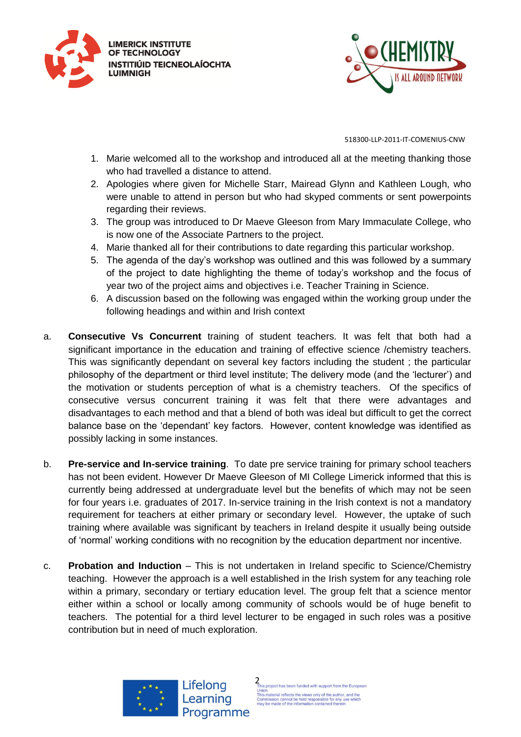



- 1. Marie welcomed all to the workshop and introduced all at the meeting thanking those who had travelled a distance to attend.
- 2. Apologies where given for Michelle Starr, Mairead Glynn and Kathleen Lough, who were unable to attend in person but who had skyped comments or sent powerpoints regarding their reviews.
- 3. The group was introduced to Dr Maeve Gleeson from Mary Immaculate College, who is now one of the Associate Partners to the project.
- 4. Marie thanked all for their contributions to date regarding this particular workshop.
- 5. The agenda of the day's workshop was outlined and this was followed by a summary of the project to date highlighting the theme of today's workshop and the focus of year two of the project aims and objectives i.e. Teacher Training in Science.
- 6. A discussion based on the following was engaged within the working group under the following headings and within and Irish context
- a. **Consecutive Vs Concurrent** training of student teachers. It was felt that both had a significant importance in the education and training of effective science /chemistry teachers. This was significantly dependant on several key factors including the student ; the particular philosophy of the department or third level institute; The delivery mode (and the 'lecturer') and the motivation or students perception of what is a chemistry teachers. Of the specifics of consecutive versus concurrent training it was felt that there were advantages and disadvantages to each method and that a blend of both was ideal but difficult to get the correct balance base on the 'dependant' key factors. However, content knowledge was identified as possibly lacking in some instances.
- b. **Pre-service and In-service training**. To date pre service training for primary school teachers has not been evident. However Dr Maeve Gleeson of MI College Limerick informed that this is currently being addressed at undergraduate level but the benefits of which may not be seen for four years i.e. graduates of 2017. In-service training in the Irish context is not a mandatory requirement for teachers at either primary or secondary level. However, the uptake of such training where available was significant by teachers in Ireland despite it usually being outside of 'normal' working conditions with no recognition by the education department nor incentive.
- c. **Probation and Induction** This is not undertaken in Ireland specific to Science/Chemistry teaching. However the approach is a well established in the Irish system for any teaching role within a primary, secondary or tertiary education level. The group felt that a science mentor either within a school or locally among community of schools would be of huge benefit to teachers. The potential for a third level lecturer to be engaged in such roles was a positive contribution but in need of much exploration.



2 is project has been funded with support from the European Union.<br>This material reflects the views only of the author, and the<br>Commission cannot be held responsible for any use which<br>may be made of the information contained therein.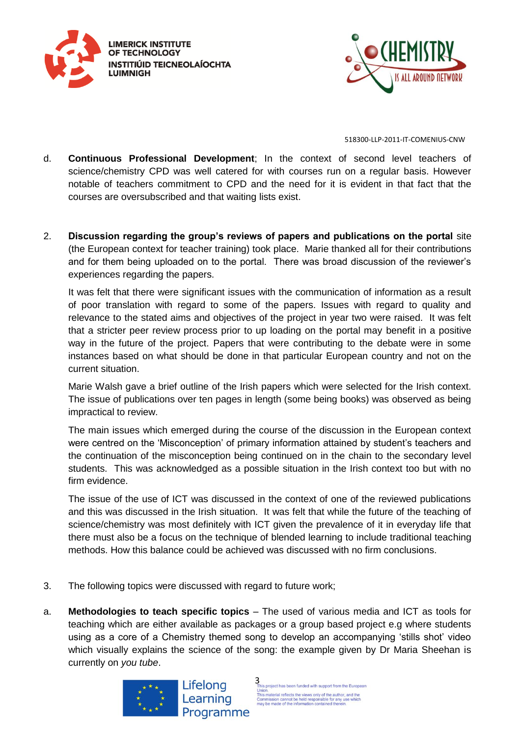



- d. **Continuous Professional Development**; In the context of second level teachers of science/chemistry CPD was well catered for with courses run on a regular basis. However notable of teachers commitment to CPD and the need for it is evident in that fact that the courses are oversubscribed and that waiting lists exist.
- 2. **Discussion regarding the group's reviews of papers and publications on the portal** site (the European context for teacher training) took place. Marie thanked all for their contributions and for them being uploaded on to the portal. There was broad discussion of the reviewer's experiences regarding the papers.

It was felt that there were significant issues with the communication of information as a result of poor translation with regard to some of the papers. Issues with regard to quality and relevance to the stated aims and objectives of the project in year two were raised. It was felt that a stricter peer review process prior to up loading on the portal may benefit in a positive way in the future of the project. Papers that were contributing to the debate were in some instances based on what should be done in that particular European country and not on the current situation.

Marie Walsh gave a brief outline of the Irish papers which were selected for the Irish context. The issue of publications over ten pages in length (some being books) was observed as being impractical to review.

The main issues which emerged during the course of the discussion in the European context were centred on the 'Misconception' of primary information attained by student's teachers and the continuation of the misconception being continued on in the chain to the secondary level students. This was acknowledged as a possible situation in the Irish context too but with no firm evidence.

The issue of the use of ICT was discussed in the context of one of the reviewed publications and this was discussed in the Irish situation. It was felt that while the future of the teaching of science/chemistry was most definitely with ICT given the prevalence of it in everyday life that there must also be a focus on the technique of blended learning to include traditional teaching methods. How this balance could be achieved was discussed with no firm conclusions.

- 3. The following topics were discussed with regard to future work;
- a. **Methodologies to teach specific topics** The used of various media and ICT as tools for teaching which are either available as packages or a group based project e.g where students using as a core of a Chemistry themed song to develop an accompanying 'stills shot' video which visually explains the science of the song: the example given by Dr Maria Sheehan is currently on *you tube*.





 $\frac{3}{2}$  This project has been funded with support from the European This material reflects the views only of the author.<br>This material reflects the views only of the author.<br>Commission cannot be held responsible for any use which<br>may be made of the information contained therein.